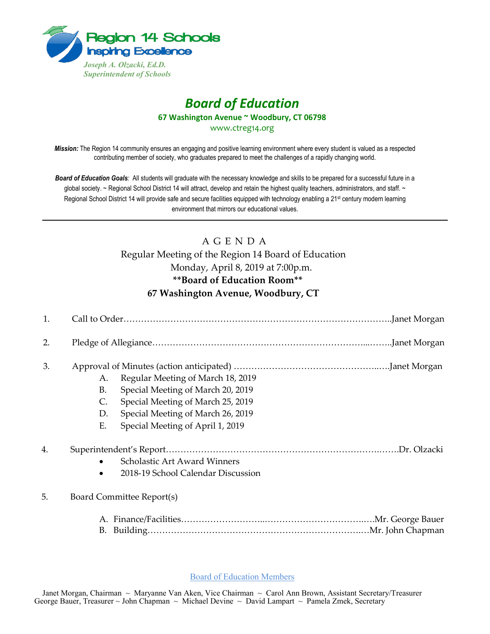

# *Board of Education*

**67 Washington Avenue ~ Woodbury, CT 06798**

www.ctreg14.org

*Mission:* The Region 14 community ensures an engaging and positive learning environment where every student is valued as a respected contributing member of society, who graduates prepared to meet the challenges of a rapidly changing world.

*Board of Education Goals:* All students will graduate with the necessary knowledge and skills to be prepared for a successful future in a global society. ~ Regional School District 14 will attract, develop and retain the highest quality teachers, administrators, and staff. ~ Regional School District 14 will provide safe and secure facilities equipped with technology enabling a 21<sup>st</sup> century modern learning environment that mirrors our educational values.

## A G E N D A

Regular Meeting of the Region 14 Board of Education Monday, April 8, 2019 at 7:00p.m. **\*\*Board of Education Room\*\* 67 Washington Avenue, Woodbury, CT**

| 1. |                             |                                                                                                                                                  |
|----|-----------------------------|--------------------------------------------------------------------------------------------------------------------------------------------------|
| 2. |                             |                                                                                                                                                  |
| 3. | A.<br><b>B.</b><br>C.<br>D. | Regular Meeting of March 18, 2019<br>Special Meeting of March 20, 2019<br>Special Meeting of March 25, 2019<br>Special Meeting of March 26, 2019 |
| 4. | E.                          | Special Meeting of April 1, 2019<br>.Dr. Olzacki<br>Scholastic Art Award Winners<br>2018-19 School Calendar Discussion                           |
| 5. | B.                          | Board Committee Report(s)                                                                                                                        |

Board of Education Members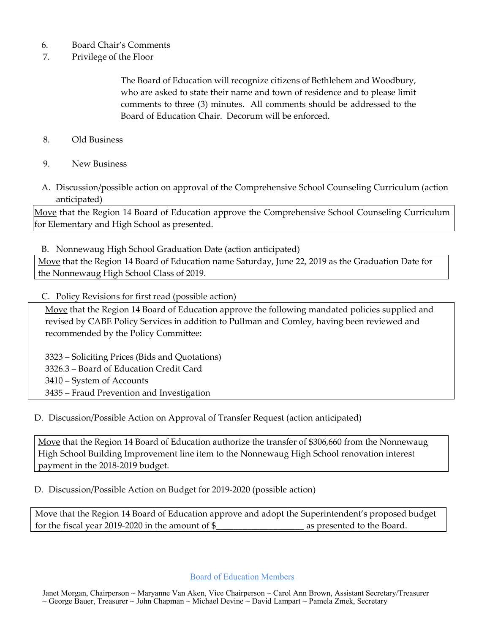- 6. Board Chair's Comments
- 7. Privilege of the Floor

The Board of Education will recognize citizens of Bethlehem and Woodbury, who are asked to state their name and town of residence and to please limit comments to three (3) minutes. All comments should be addressed to the Board of Education Chair. Decorum will be enforced.

- 8. Old Business
- 9. New Business
- A. Discussion/possible action on approval of the Comprehensive School Counseling Curriculum (action anticipated)

Move that the Region 14 Board of Education approve the Comprehensive School Counseling Curriculum for Elementary and High School as presented.

B. Nonnewaug High School Graduation Date (action anticipated)

Move that the Region 14 Board of Education name Saturday, June 22, 2019 as the Graduation Date for the Nonnewaug High School Class of 2019.

#### C. Policy Revisions for first read (possible action)

Move that the Region 14 Board of Education approve the following mandated policies supplied and revised by CABE Policy Services in addition to Pullman and Comley, having been reviewed and recommended by the Policy Committee:

 – Soliciting Prices (Bids and Quotations) 3326.3 – Board of Education Credit Card – System of Accounts – Fraud Prevention and Investigation

D. Discussion/Possible Action on Approval of Transfer Request (action anticipated)

Move that the Region 14 Board of Education authorize the transfer of \$306,660 from the Nonnewaug High School Building Improvement line item to the Nonnewaug High School renovation interest payment in the 2018-2019 budget.

D. Discussion/Possible Action on Budget for 2019-2020 (possible action)

Move that the Region 14 Board of Education approve and adopt the Superintendent's proposed budget for the fiscal year 2019-2020 in the amount of \$\_\_\_\_\_\_\_\_\_\_\_\_\_\_\_\_\_\_\_\_ as presented to the Board.

Board of Education Members